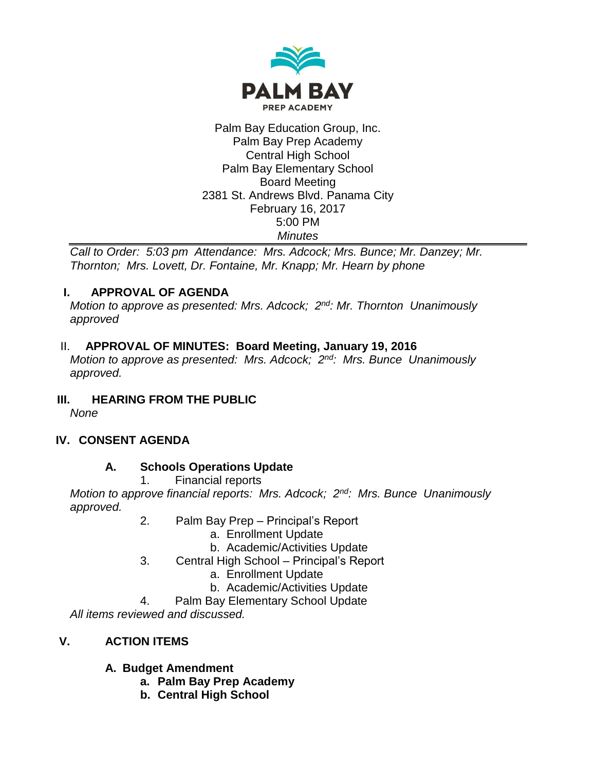

#### Palm Bay Education Group, Inc. Palm Bay Prep Academy Central High School Palm Bay Elementary School Board Meeting 2381 St. Andrews Blvd. Panama City February 16, 2017 5:00 PM *Minutes*

*Call to Order: 5:03 pm Attendance: Mrs. Adcock; Mrs. Bunce; Mr. Danzey; Mr. Thornton; Mrs. Lovett, Dr. Fontaine, Mr. Knapp; Mr. Hearn by phone*

### **I. APPROVAL OF AGENDA**

*Motion to approve as presented: Mrs. Adcock; 2nd: Mr. Thornton Unanimously approved*

### II. **APPROVAL OF MINUTES: Board Meeting, January 19, 2016**

*Motion to approve as presented: Mrs. Adcock; 2nd: Mrs. Bunce Unanimously approved.*

# **III. HEARING FROM THE PUBLIC**

*None*

# **IV. CONSENT AGENDA**

### **A. Schools Operations Update**

1. Financial reports

*Motion to approve financial reports: Mrs. Adcock; 2nd: Mrs. Bunce Unanimously approved.*

- 2. Palm Bay Prep Principal's Report
	- a. Enrollment Update
	- b. Academic/Activities Update
- 3. Central High School Principal's Report
	- a. Enrollment Update
	- b. Academic/Activities Update
- 4. Palm Bay Elementary School Update

*All items reviewed and discussed.*

# **V. ACTION ITEMS**

# **A. Budget Amendment**

- **a. Palm Bay Prep Academy**
- **b. Central High School**